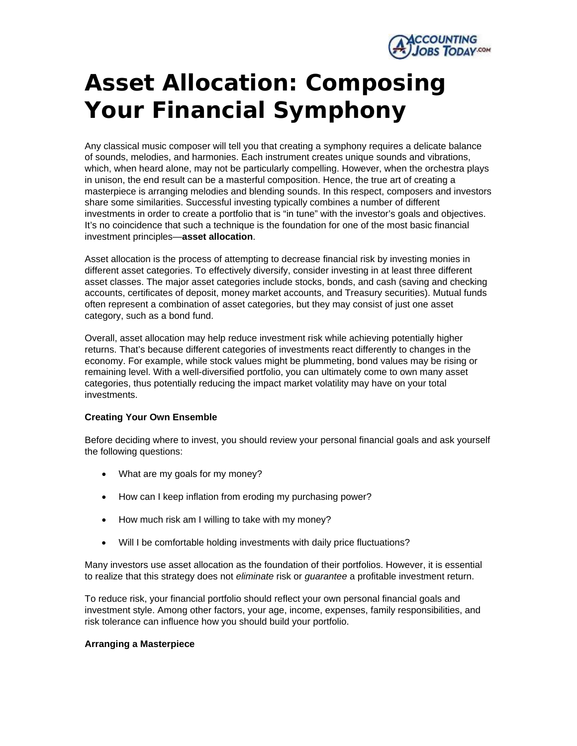

## **Asset Allocation: Composing Your Financial Symphony**

Any classical music composer will tell you that creating a symphony requires a delicate balance of sounds, melodies, and harmonies. Each instrument creates unique sounds and vibrations, which, when heard alone, may not be particularly compelling. However, when the orchestra plays in unison, the end result can be a masterful composition. Hence, the true art of creating a masterpiece is arranging melodies and blending sounds. In this respect, composers and investors share some similarities. Successful investing typically combines a number of different investments in order to create a portfolio that is "in tune" with the investor's goals and objectives. It's no coincidence that such a technique is the foundation for one of the most basic financial investment principles—**asset allocation**.

Asset allocation is the process of attempting to decrease financial risk by investing monies in different asset categories. To effectively diversify, consider investing in at least three different asset classes. The major asset categories include stocks, bonds, and cash (saving and checking accounts, certificates of deposit, money market accounts, and Treasury securities). Mutual funds often represent a combination of asset categories, but they may consist of just one asset category, such as a bond fund.

Overall, asset allocation may help reduce investment risk while achieving potentially higher returns. That's because different categories of investments react differently to changes in the economy. For example, while stock values might be plummeting, bond values may be rising or remaining level. With a well-diversified portfolio, you can ultimately come to own many asset categories, thus potentially reducing the impact market volatility may have on your total investments.

## **Creating Your Own Ensemble**

Before deciding where to invest, you should review your personal financial goals and ask yourself the following questions:

- What are my goals for my money?
- How can I keep inflation from eroding my purchasing power?
- How much risk am I willing to take with my money?
- Will I be comfortable holding investments with daily price fluctuations?

Many investors use asset allocation as the foundation of their portfolios. However, it is essential to realize that this strategy does not *eliminate* risk or *guarantee* a profitable investment return.

To reduce risk, your financial portfolio should reflect your own personal financial goals and investment style. Among other factors, your age, income, expenses, family responsibilities, and risk tolerance can influence how you should build your portfolio.

## **Arranging a Masterpiece**